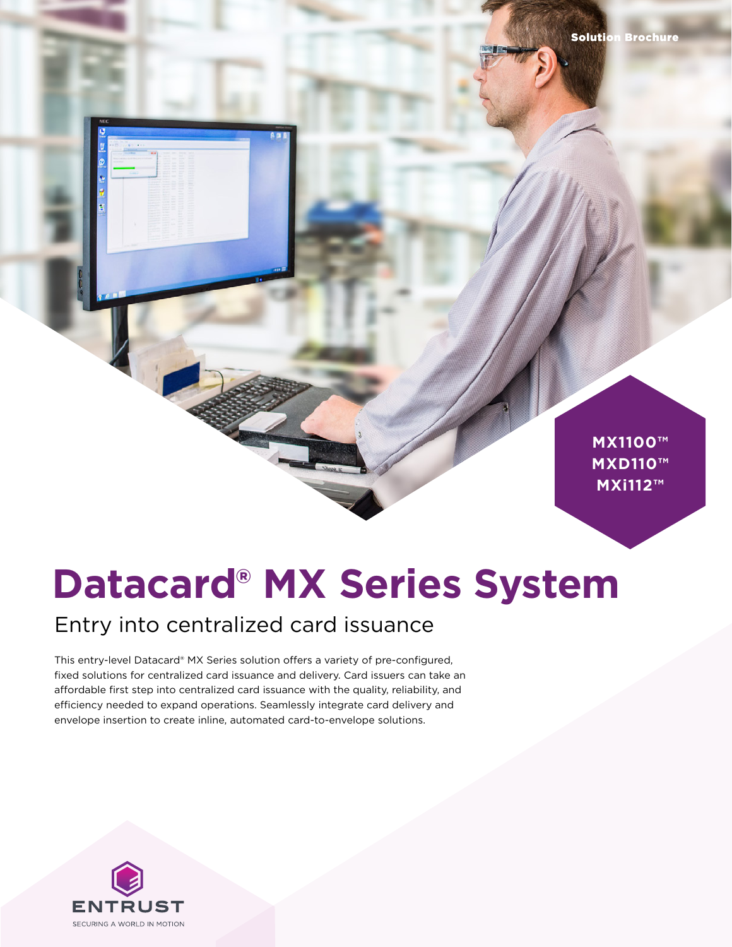**MX1100™ MXD110™ MXD110™ MXi112™ MX1100™**

# **Datacard® MX Series System**

### Entry into centralized card issuance

This entry-level Datacard® MX Series solution offers a variety of pre-configured, fixed solutions for centralized card issuance and delivery. Card issuers can take an affordable first step into centralized card issuance with the quality, reliability, and efficiency needed to expand operations. Seamlessly integrate card delivery and envelope insertion to create inline, automated card-to-envelope solutions.

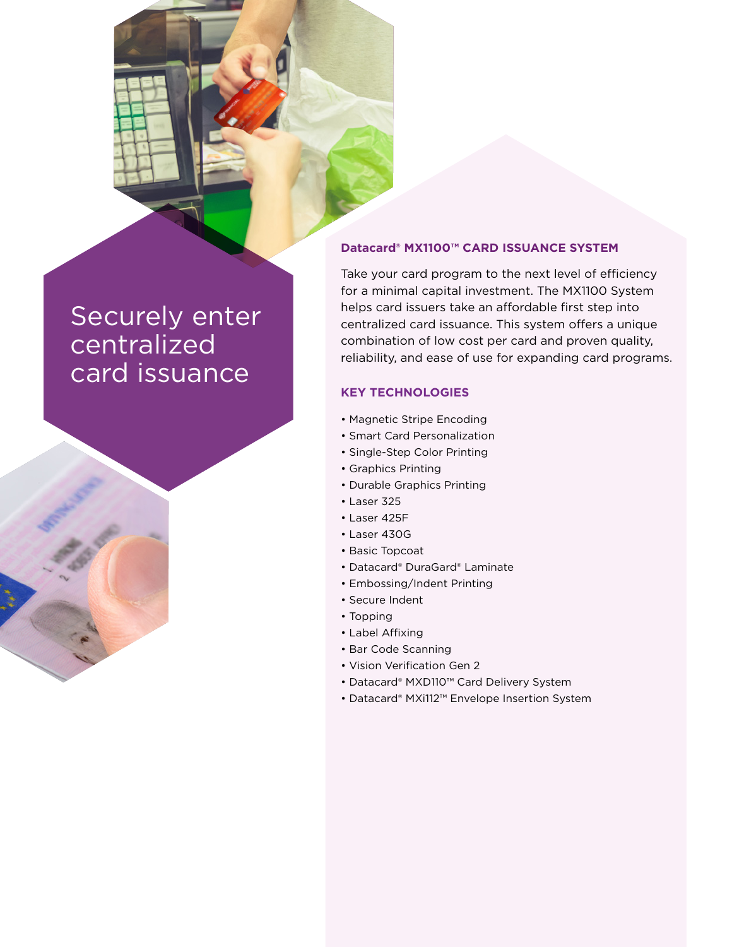### Securely enter centralized card issuance



#### **Datacard® MX1100™ CARD ISSUANCE SYSTEM**

Take your card program to the next level of efficiency for a minimal capital investment. The MX1100 System helps card issuers take an affordable first step into centralized card issuance. This system offers a unique combination of low cost per card and proven quality, reliability, and ease of use for expanding card programs.

#### **KEY TECHNOLOGIES**

- Magnetic Stripe Encoding
- Smart Card Personalization
- Single-Step Color Printing
- Graphics Printing
- Durable Graphics Printing
- Laser 325
- Laser 425F
- Laser 430G
- Basic Topcoat
- Datacard® DuraGard® Laminate
- Embossing/Indent Printing
- Secure Indent
- Topping
- Label Affixing
- Bar Code Scanning
- Vision Verification Gen 2
- Datacard® MXD110™ Card Delivery System
- Datacard® MXi112™ Envelope Insertion System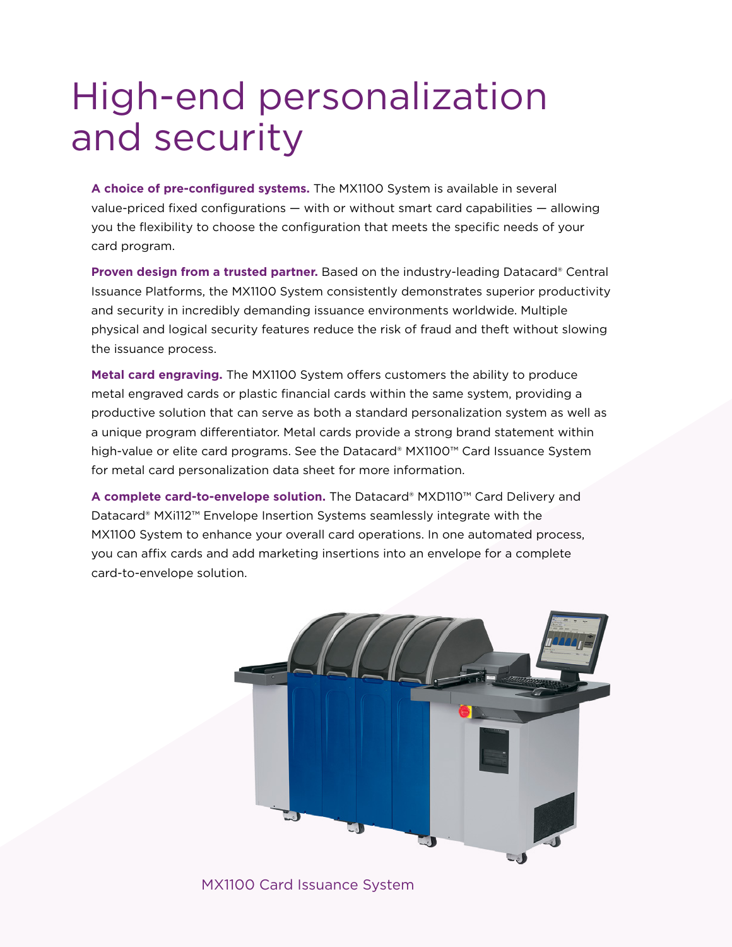### High-end personalization and security

**A choice of pre-configured systems.** The MX1100 System is available in several value-priced fixed configurations — with or without smart card capabilities — allowing you the flexibility to choose the configuration that meets the specific needs of your card program.

**Proven design from a trusted partner.** Based on the industry-leading Datacard® Central Issuance Platforms, the MX1100 System consistently demonstrates superior productivity and security in incredibly demanding issuance environments worldwide. Multiple physical and logical security features reduce the risk of fraud and theft without slowing the issuance process.

**Metal card engraving.** The MX1100 System offers customers the ability to produce metal engraved cards or plastic financial cards within the same system, providing a productive solution that can serve as both a standard personalization system as well as a unique program differentiator. Metal cards provide a strong brand statement within high-value or elite card programs. See the Datacard® MX1100™ Card Issuance System for metal card personalization data sheet for more information.

**A complete card-to-envelope solution.** The Datacard® MXD110™ Card Delivery and Datacard® MXi112™ Envelope Insertion Systems seamlessly integrate with the MX1100 System to enhance your overall card operations. In one automated process, you can affix cards and add marketing insertions into an envelope for a complete card-to-envelope solution.



MX1100 Card Issuance System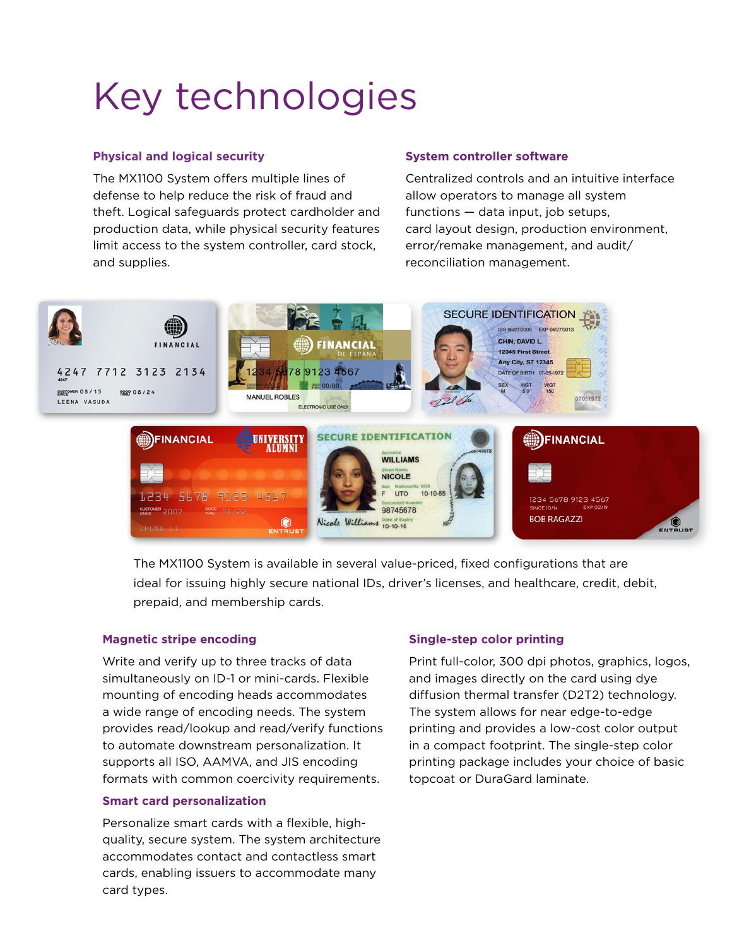## Key technologies

#### **Physical and logical security**

The MX1100 System offers multiple lines of defense to help reduce the risk of fraud and theft. Logical safeguards protect cardholder and production data, while physical security features limit access to the system controller, card stock, and supplies.

#### **System controller software**

Centralized controls and an intuitive interface allow operators to manage all system functions — data input, job setups, card layout design, production environment, error/remake management, and audit/ reconciliation management.



The MX1100 System is available in several value-priced, fixed configurations that are ideal for issuing highly secure national IDs, driver's licenses, and healthcare, credit, debit, prepaid, and membership cards.

#### **Magnetic stripe encoding**

Write and verify up to three tracks of data simultaneously on ID-1 or mini-cards. Flexible mounting of encoding heads accommodates a wide range of encoding needs. The system provides read/lookup and read/verify functions to automate downstream personalization. It supports all ISO, AAMVA, and JIS encoding formats with common coercivity requirements.

#### **Smart card personalization**

Personalize smart cards with a flexible, highquality, secure system. The system architecture accommodates contact and contactless smart cards, enabling issuers to accommodate many card types.

#### **Single-step color printing**

Print full-color, 300 dpi photos, graphics, logos, and images directly on the card using dye diffusion thermal transfer (D2T2) technology. The system allows for near edge-to-edge printing and provides a low-cost color output in a compact footprint. The single-step color printing package includes your choice of basic topcoat or DuraGard laminate.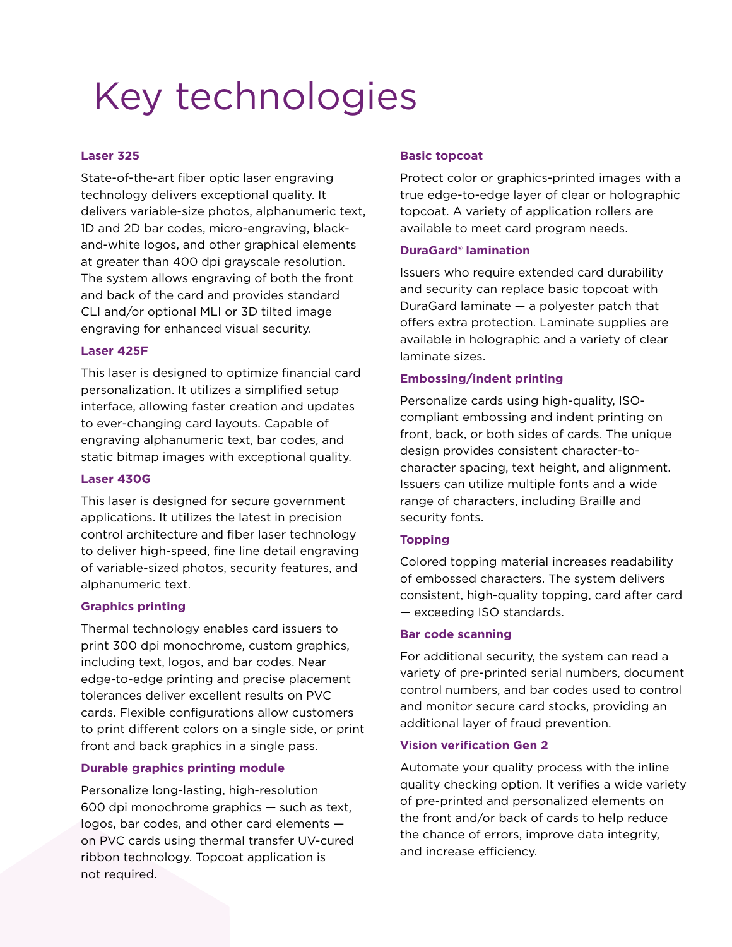### Key technologies

#### **Laser 325**

State-of-the-art fiber optic laser engraving technology delivers exceptional quality. It delivers variable-size photos, alphanumeric text, 1D and 2D bar codes, micro-engraving, blackand-white logos, and other graphical elements at greater than 400 dpi grayscale resolution. The system allows engraving of both the front and back of the card and provides standard CLI and/or optional MLI or 3D tilted image engraving for enhanced visual security.

#### **Laser 425F**

This laser is designed to optimize financial card personalization. It utilizes a simplified setup interface, allowing faster creation and updates to ever-changing card layouts. Capable of engraving alphanumeric text, bar codes, and static bitmap images with exceptional quality.

#### **Laser 430G**

This laser is designed for secure government applications. It utilizes the latest in precision control architecture and fiber laser technology to deliver high-speed, fine line detail engraving of variable-sized photos, security features, and alphanumeric text.

#### **Graphics printing**

Thermal technology enables card issuers to print 300 dpi monochrome, custom graphics, including text, logos, and bar codes. Near edge-to-edge printing and precise placement tolerances deliver excellent results on PVC cards. Flexible configurations allow customers to print different colors on a single side, or print front and back graphics in a single pass.

#### **Durable graphics printing module**

Personalize long-lasting, high-resolution 600 dpi monochrome graphics — such as text, logos, bar codes, and other card elements on PVC cards using thermal transfer UV-cured ribbon technology. Topcoat application is not required.

#### **Basic topcoat**

Protect color or graphics-printed images with a true edge-to-edge layer of clear or holographic topcoat. A variety of application rollers are available to meet card program needs.

#### **DuraGard® lamination**

Issuers who require extended card durability and security can replace basic topcoat with DuraGard laminate — a polyester patch that offers extra protection. Laminate supplies are available in holographic and a variety of clear laminate sizes.

#### **Embossing/indent printing**

Personalize cards using high-quality, ISOcompliant embossing and indent printing on front, back, or both sides of cards. The unique design provides consistent character-tocharacter spacing, text height, and alignment. Issuers can utilize multiple fonts and a wide range of characters, including Braille and security fonts.

#### **Topping**

Colored topping material increases readability of embossed characters. The system delivers consistent, high-quality topping, card after card — exceeding ISO standards.

#### **Bar code scanning**

For additional security, the system can read a variety of pre-printed serial numbers, document control numbers, and bar codes used to control and monitor secure card stocks, providing an additional layer of fraud prevention.

#### **Vision verification Gen 2**

Automate your quality process with the inline quality checking option. It verifies a wide variety of pre-printed and personalized elements on the front and/or back of cards to help reduce the chance of errors, improve data integrity, and increase efficiency.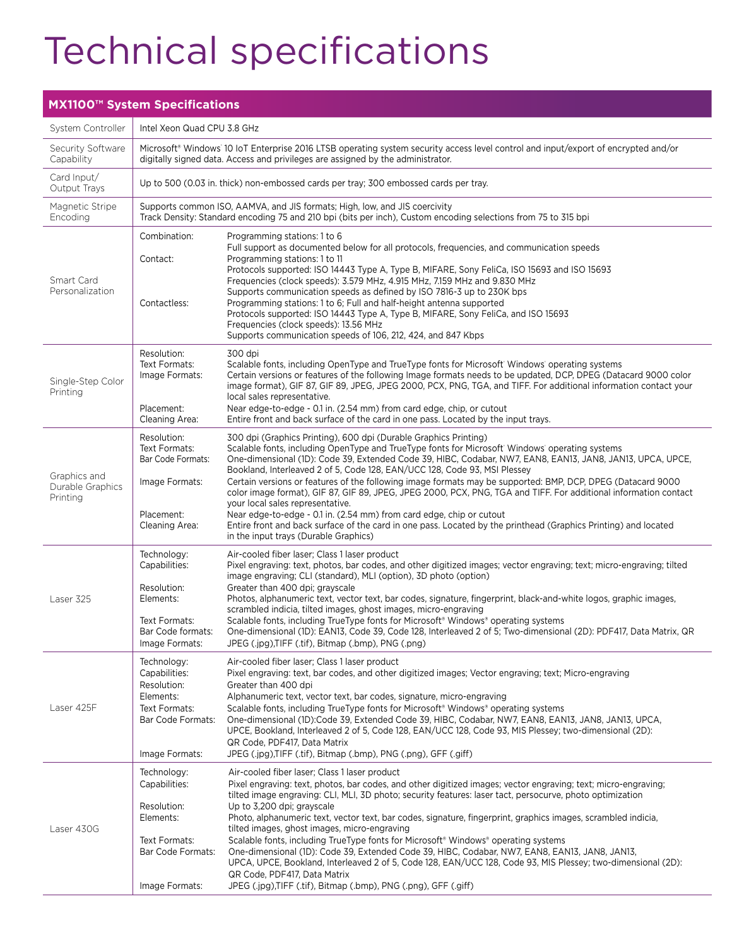### Technical specifications

#### **MX1100™ System Specifications** System Controller | Intel Xeon Quad CPU 3.8 GHz Security Software Capability Microsoft® Windows® 10 IoT Enterprise 2016 LTSB operating system security access level control and input/export of encrypted and/or digitally signed data. Access and privileges are assigned by the administrator. Card Input/ Output Trays Up to 500 (0.03 in. thick) non-embossed cards per tray; 300 embossed cards per tray. Magnetic Stripe Encoding Supports common ISO, AAMVA, and JIS formats; High, low, and JIS coercivity Track Density: Standard encoding 75 and 210 bpi (bits per inch), Custom encoding selections from 75 to 315 bpi Smart Card Personalization Combination: Programming stations: 1 to 6 Full support as documented below for all protocols, frequencies, and communication speeds Contact: Programming stations: 1 to 11 Protocols supported: ISO 14443 Type A, Type B, MIFARE, Sony FeliCa, ISO 15693 and ISO 15693 Frequencies (clock speeds): 3.579 MHz, 4.915 MHz, 7.159 MHz and 9.830 MHz Supports communication speeds as defined by ISO 7816-3 up to 230K bps Contactless: Programming stations: 1 to 6; Full and half-height antenna supported Protocols supported: ISO 14443 Type A, Type B, MIFARE, Sony FeliCa, and ISO 15693 Frequencies (clock speeds): 13.56 MHz Supports communication speeds of 106, 212, 424, and 847 Kbps Single-Step Color Printing Resolution: 300 dpi Text Formats: Scalable fonts, including OpenType and TrueType fonts for Microsoft Windows operating systems ( Image Formats: Certain versions or features of the following Image formats needs to be updated, DCP, DPEG (Datacard 9000 color image format), GIF 87, GIF 89, JPEG, JPEG 2000, PCX, PNG, TGA, and TIFF. For additional information contact your local sales representative. Placement: Near edge-to-edge - 0.1 in. (2.54 mm) from card edge, chip, or cutout<br>Cleaning Area: Entire front and back surface of the card in one pass. Located by the in Entire front and back surface of the card in one pass. Located by the input trays. Graphics and Durable Graphics Printing Resolution: 300 dpi (Graphics Printing), 600 dpi (Durable Graphics Printing) Text Formats: Scalable fonts, including OpenType and TrueType fonts for Microsoft' Windows' operating systems ( Bar Code Formats: One-dimensional (1D): Code 39, Extended Code 39, HIBC, Codabar, NW7, EAN8, EAN13, JAN8, JAN13, UPCA, UPCE, Bookland, Interleaved 2 of 5, Code 128, EAN/UCC 128, Code 93, MSI Plessey Image Formats: Certain versions or features of the following image formats may be supported: BMP, DCP, DPEG (Datacard 9000 color image format), GIF 87, GIF 89, JPEG, JPEG 2000, PCX, PNG, TGA and TIFF. For additional information contact your local sales representative. Placement: Near edge-to-edge - 0.1 in. (2.54 mm) from card edge, chip or cutout Cleaning Area: Entire front and back surface of the card in one pass. Located by the printhead (Graphics Printing) and located in the input trays (Durable Graphics) Laser 325 Technology: Air-cooled fiber laser; Class 1 laser product<br>Capabilities: Pixel engraving: text, photos, bar codes, an Pixel engraving: text, photos, bar codes, and other digitized images; vector engraving; text; micro-engraving; tilted image engraving; CLI (standard), MLI (option), 3D photo (option) Resolution: Greater than 400 dpi; grayscale Elements: Photos, alphanumeric text, vector text, bar codes, signature, fingerprint, black-and-white logos, graphic images, scrambled indicia, tilted images, ghost images, micro-engraving Text Formats: Scalable fonts, including TrueType fonts for Microsoft® Windows® operating systems Bar Code formats: One-dimensional (1D): EAN13, Code 39, Code 128, Interleaved 2 of 5; Two-dimensional (2D): PDF417, Data Matrix, QR Image Formats: JPEG (.jpg),TIFF (.tif), Bitmap (.bmp), PNG (.png) Laser 425F Technology: Air-cooled fiber laser; Class 1 laser product Capabilities: Pixel engraving: text, bar codes, and other digitized images; Vector engraving; text; Micro-engraving Resolution: Greater than 400 dpi Elements: Alphanumeric text, vector text, bar codes, signature, micro-engraving Text Formats: Scalable fonts, including TrueType fonts for Microsoft® Windows® operating systems Bar Code Formats: One-dimensional (1D):Code 39, Extended Code 39, HIBC, Codabar, NW7, EAN8, EAN13, JAN8, JAN13, UPCA, UPCE, Bookland, Interleaved 2 of 5, Code 128, EAN/UCC 128, Code 93, MIS Plessey; two-dimensional (2D): QR Code, PDF417, Data Matrix Image Formats: JPEG (.jpg),TIFF (.tif), Bitmap (.bmp), PNG (.png), GFF (.giff) Laser 430G Technology: Air-cooled fiber laser; Class 1 laser product Capabilities: Pixel engraving: text, photos, bar codes, and other digitized images; vector engraving; text; micro-engraving; tilted image engraving: CLI, MLI, 3D photo; security features: laser tact, persocurve, photo optimization Resolution: Up to 3,200 dpi; grayscale Elements: Photo, alphanumeric text, vector text, bar codes, signature, fingerprint, graphics images, scrambled indicia, tilted images, ghost images, micro-engraving Text Formats: Scalable fonts, including TrueType fonts for Microsoft® Windows® operating systems Bar Code Formats: One-dimensional (1D): Code 39, Extended Code 39, HIBC, Codabar, NW7, EAN8, EAN13, JAN8, JAN13, UPCA, UPCE, Bookland, Interleaved 2 of 5, Code 128, EAN/UCC 128, Code 93, MIS Plessey; two-dimensional (2D): QR Code, PDF417, Data Matrix Image Formats: JPEG (.jpg),TIFF (.tif), Bitmap (.bmp), PNG (.png), GFF (.giff)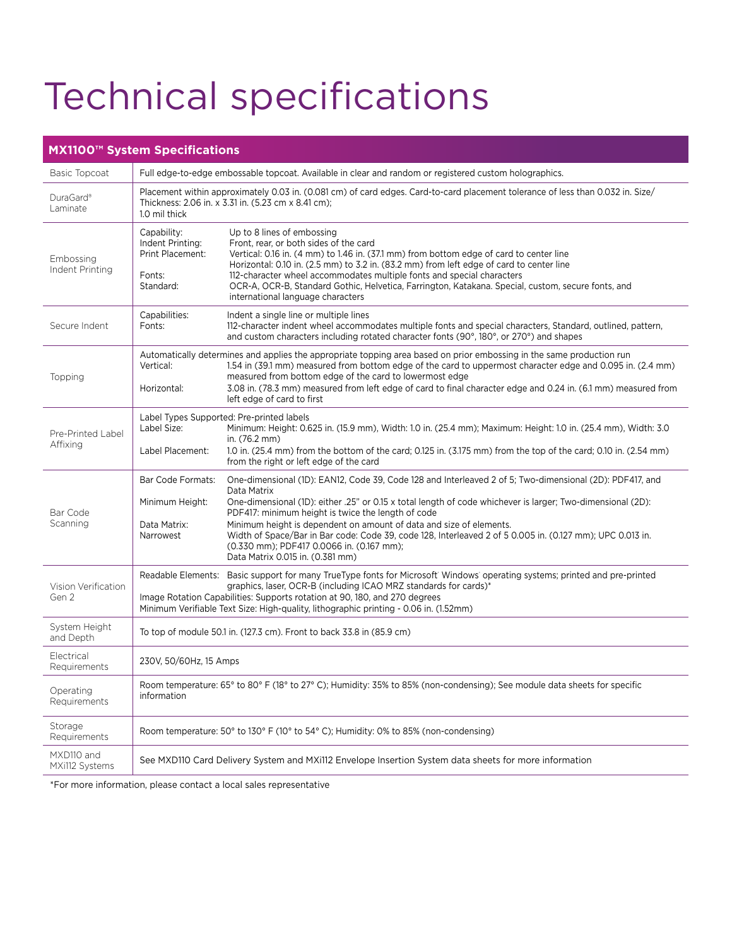## Technical specifications

### **MX1100™ System Specifications**

| Basic Topcoat                 | Full edge-to-edge embossable topcoat. Available in clear and random or registered custom holographics.                                                                                                                                                                                                                                                                                                                                                                                                                                                                                                                                 |  |  |
|-------------------------------|----------------------------------------------------------------------------------------------------------------------------------------------------------------------------------------------------------------------------------------------------------------------------------------------------------------------------------------------------------------------------------------------------------------------------------------------------------------------------------------------------------------------------------------------------------------------------------------------------------------------------------------|--|--|
| DuraGard®<br>Laminate         | Placement within approximately 0.03 in. (0.081 cm) of card edges. Card-to-card placement tolerance of less than 0.032 in. Size/<br>Thickness: 2.06 in. x 3.31 in. (5.23 cm x 8.41 cm);<br>1.0 mil thick                                                                                                                                                                                                                                                                                                                                                                                                                                |  |  |
| Embossing<br>Indent Printing  | Up to 8 lines of embossing<br>Capability:<br>Indent Printing:<br>Front, rear, or both sides of the card<br>Vertical: 0.16 in. (4 mm) to 1.46 in. (37.1 mm) from bottom edge of card to center line<br>Print Placement:<br>Horizontal: 0.10 in. (2.5 mm) to 3.2 in. (83.2 mm) from left edge of card to center line<br>112-character wheel accommodates multiple fonts and special characters<br>Fonts:<br>OCR-A, OCR-B, Standard Gothic, Helvetica, Farrington, Katakana. Special, custom, secure fonts, and<br>Standard:<br>international language characters                                                                         |  |  |
| Secure Indent                 | Capabilities:<br>Indent a single line or multiple lines<br>Fonts:<br>112-character indent wheel accommodates multiple fonts and special characters, Standard, outlined, pattern,<br>and custom characters including rotated character fonts (90°, 180°, or 270°) and shapes                                                                                                                                                                                                                                                                                                                                                            |  |  |
| Topping                       | Automatically determines and applies the appropriate topping area based on prior embossing in the same production run<br>Vertical:<br>1.54 in (39.1 mm) measured from bottom edge of the card to uppermost character edge and 0.095 in. (2.4 mm)<br>measured from bottom edge of the card to lowermost edge<br>3.08 in. (78.3 mm) measured from left edge of card to final character edge and 0.24 in. (6.1 mm) measured from<br>Horizontal:<br>left edge of card to first                                                                                                                                                             |  |  |
| Pre-Printed Label<br>Affixing | Label Types Supported: Pre-printed labels<br>Label Size:<br>Minimum: Height: 0.625 in. (15.9 mm), Width: 1.0 in. (25.4 mm); Maximum: Height: 1.0 in. (25.4 mm), Width: 3.0<br>in. (76.2 mm)<br>Label Placement:<br>1.0 in. (25.4 mm) from the bottom of the card; 0.125 in. (3.175 mm) from the top of the card; 0.10 in. (2.54 mm)<br>from the right or left edge of the card                                                                                                                                                                                                                                                         |  |  |
| Bar Code<br>Scanning          | Bar Code Formats:<br>One-dimensional (1D): EAN12, Code 39, Code 128 and Interleaved 2 of 5; Two-dimensional (2D): PDF417, and<br>Data Matrix<br>Minimum Height:<br>One-dimensional (1D): either .25" or 0.15 x total length of code whichever is larger; Two-dimensional (2D):<br>PDF417: minimum height is twice the length of code<br>Minimum height is dependent on amount of data and size of elements.<br>Data Matrix:<br>Width of Space/Bar in Bar code: Code 39, code 128, Interleaved 2 of 5 0.005 in. (0.127 mm); UPC 0.013 in.<br>Narrowest<br>(0.330 mm); PDF417 0.0066 in. (0.167 mm);<br>Data Matrix 0.015 in. (0.381 mm) |  |  |
| Vision Verification<br>Gen 2  | Readable Elements: Basic support for many TrueType fonts for Microsoft' Windows' operating systems; printed and pre-printed<br>graphics, laser, OCR-B (including ICAO MRZ standards for cards)*<br>Image Rotation Capabilities: Supports rotation at 90, 180, and 270 degrees<br>Minimum Verifiable Text Size: High-quality, lithographic printing - 0.06 in. (1.52mm)                                                                                                                                                                                                                                                                 |  |  |
| System Height<br>and Depth    | To top of module 50.1 in. (127.3 cm). Front to back 33.8 in (85.9 cm)                                                                                                                                                                                                                                                                                                                                                                                                                                                                                                                                                                  |  |  |
| Electrical<br>Requirements    | 230V, 50/60Hz, 15 Amps                                                                                                                                                                                                                                                                                                                                                                                                                                                                                                                                                                                                                 |  |  |
| Operating<br>Requirements     | Room temperature: 65° to 80° F (18° to 27° C); Humidity: 35% to 85% (non-condensing); See module data sheets for specific<br>information                                                                                                                                                                                                                                                                                                                                                                                                                                                                                               |  |  |
| Storage<br>Requirements       | Room temperature: 50° to 130° F (10° to 54° C); Humidity: 0% to 85% (non-condensing)                                                                                                                                                                                                                                                                                                                                                                                                                                                                                                                                                   |  |  |
| MXD110 and<br>MXi112 Systems  | See MXD110 Card Delivery System and MXi112 Envelope Insertion System data sheets for more information                                                                                                                                                                                                                                                                                                                                                                                                                                                                                                                                  |  |  |

\*For more information, please contact a local sales representative